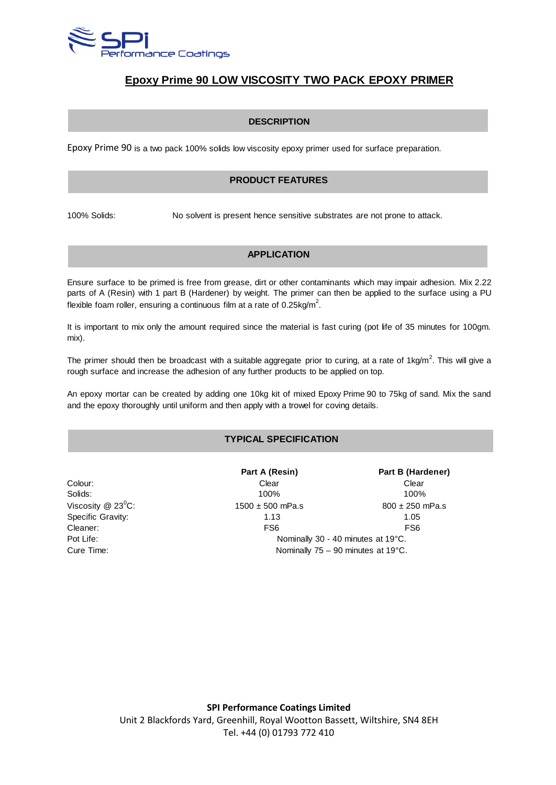

# **Epoxy Prime 90 LOW VISCOSITY TWO PACK EPOXY PRIMER**

#### **DESCRIPTION**

Epoxy Prime 90 is a two pack 100% solids low viscosity epoxy primer used for surface preparation.

### **PRODUCT FEATURES**

100% Solids: No solvent is present hence sensitive substrates are not prone to attack.

#### **APPLICATION**

Ensure surface to be primed is free from grease, dirt or other contaminants which may impair adhesion. Mix 2.22 parts of A (Resin) with 1 part B (Hardener) by weight. The primer can then be applied to the surface using a PU flexible foam roller, ensuring a continuous film at a rate of 0.25kg/m<sup>2</sup>.

It is important to mix only the amount required since the material is fast curing (pot life of 35 minutes for 100gm. mix).

The primer should then be broadcast with a suitable aggregate prior to curing, at a rate of 1kg/m<sup>2</sup>. This will give a rough surface and increase the adhesion of any further products to be applied on top.

An epoxy mortar can be created by adding one 10kg kit of mixed Epoxy Prime 90 to 75kg of sand. Mix the sand and the epoxy thoroughly until uniform and then apply with a trowel for coving details.

### **TYPICAL SPECIFICATION**

| Colour:                         |
|---------------------------------|
| Solids:                         |
| Viscosity @ 23 $\mathrm{^0C}$ : |
| Specific Gravity:               |
| Cleaner:                        |
| Pot Life:                       |
| Cure Time:                      |

**Part A (Resin) Part B (Hardener)** Colour: Clear Clear Solids: 100% 100%  $1500 \pm 500$  mPa.s 800  $\pm$  250 mPa.s 1.13 1.05 FS6 FS6 Nominally 30 - 40 minutes at 19°C. Nominally  $75 - 90$  minutes at  $19^{\circ}$ C.